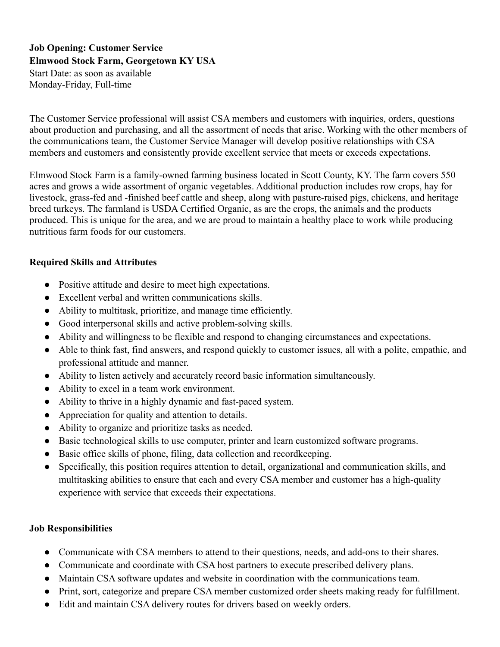# **Job Opening: Customer Service Elmwood Stock Farm, Georgetown KY USA**

Start Date: as soon as available Monday-Friday, Full-time

The Customer Service professional will assist CSA members and customers with inquiries, orders, questions about production and purchasing, and all the assortment of needs that arise. Working with the other members of the communications team, the Customer Service Manager will develop positive relationships with CSA members and customers and consistently provide excellent service that meets or exceeds expectations.

Elmwood Stock Farm is a family-owned farming business located in Scott County, KY. The farm covers 550 acres and grows a wide assortment of organic vegetables. Additional production includes row crops, hay for livestock, grass-fed and -finished beef cattle and sheep, along with pasture-raised pigs, chickens, and heritage breed turkeys. The farmland is USDA Certified Organic, as are the crops, the animals and the products produced. This is unique for the area, and we are proud to maintain a healthy place to work while producing nutritious farm foods for our customers.

### **Required Skills and Attributes**

- Positive attitude and desire to meet high expectations.
- Excellent verbal and written communications skills.
- Ability to multitask, prioritize, and manage time efficiently.
- Good interpersonal skills and active problem-solving skills.
- Ability and willingness to be flexible and respond to changing circumstances and expectations.
- Able to think fast, find answers, and respond quickly to customer issues, all with a polite, empathic, and professional attitude and manner.
- Ability to listen actively and accurately record basic information simultaneously.
- Ability to excel in a team work environment.
- Ability to thrive in a highly dynamic and fast-paced system.
- Appreciation for quality and attention to details.
- Ability to organize and prioritize tasks as needed.
- Basic technological skills to use computer, printer and learn customized software programs.
- Basic office skills of phone, filing, data collection and recordkeeping.
- Specifically, this position requires attention to detail, organizational and communication skills, and multitasking abilities to ensure that each and every CSA member and customer has a high-quality experience with service that exceeds their expectations.

#### **Job Responsibilities**

- Communicate with CSA members to attend to their questions, needs, and add-ons to their shares.
- Communicate and coordinate with CSA host partners to execute prescribed delivery plans.
- Maintain CSA software updates and website in coordination with the communications team.
- Print, sort, categorize and prepare CSA member customized order sheets making ready for fulfillment.
- Edit and maintain CSA delivery routes for drivers based on weekly orders.